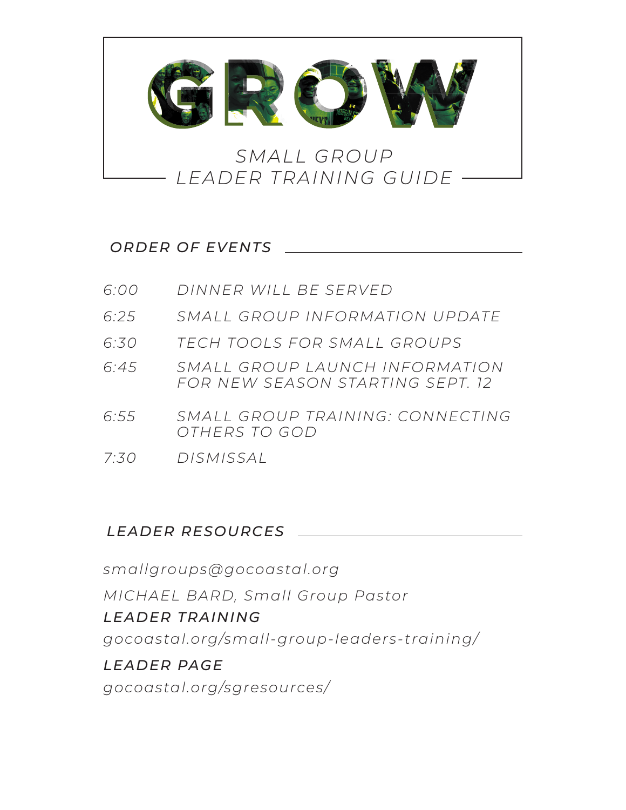

### *ORDER OF EVENTS*

| 6.00 | DINNER WILL BE SERVED                                              |
|------|--------------------------------------------------------------------|
| 6.25 | SMALL GROUP INFORMATION UPDATE                                     |
| 6:30 | TECH TOOLS FOR SMALL GROUPS                                        |
| 6.45 | SMALL GROUP LAUNCH INFORMATION<br>FOR NEW SFASON STARTING SFPT. 12 |
| 6:55 | SMALL GROUP TRAINING: CONNECTING<br>OTHERS TO GOD                  |
| 7:30 | DISMISSAL                                                          |

### *LEADER RESOURCES*

*smallgroups@gocoastal.org MICHAEL BARD, Small Group Pastor LEADER TRAINING gocoastal.org/small-group-leaders-training/ LEADER PAGE gocoastal.org/sgresources/*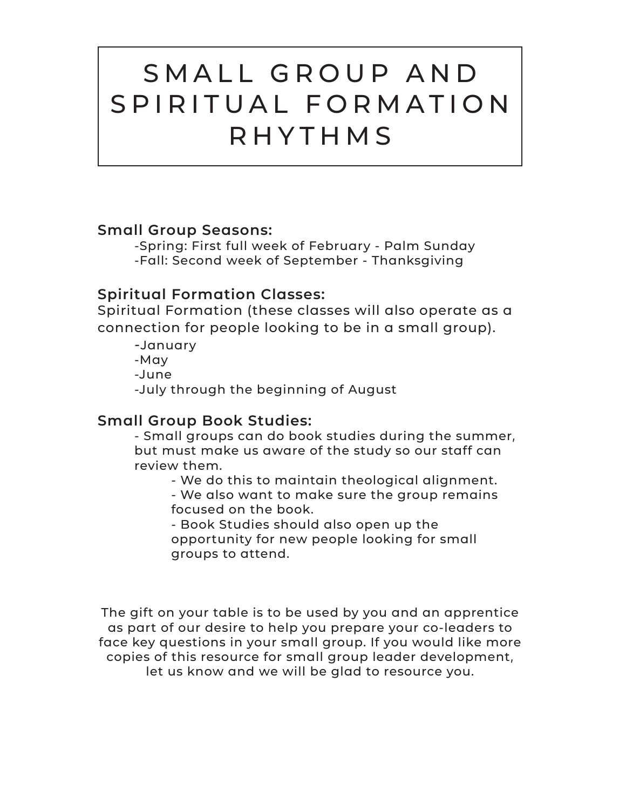## SMALL GROUP AND S P I R I T U A L F O R M A T I O N RHYTHMS

### **Small Group Seasons:**

-Spring: First full week of February - Palm Sunday -Fall: Second week of September - Thanksgiving

### **Spiritual Formation Classes:**

Spiritual Formation (these classes will also operate as a connection for people looking to be in a small group).

-January -May -June -July through the beginning of August

### **Small Group Book Studies:**

- Small groups can do book studies during the summer, but must make us aware of the study so our staff can review them.

- We do this to maintain theological alignment.

 - We also want to make sure the group remains focused on the book.

 - Book Studies should also open up the opportunity for new people looking for small groups to attend.

The gift on your table is to be used by you and an apprentice as part of our desire to help you prepare your co-leaders to face key questions in your small group. If you would like more copies of this resource for small group leader development, let us know and we will be glad to resource you.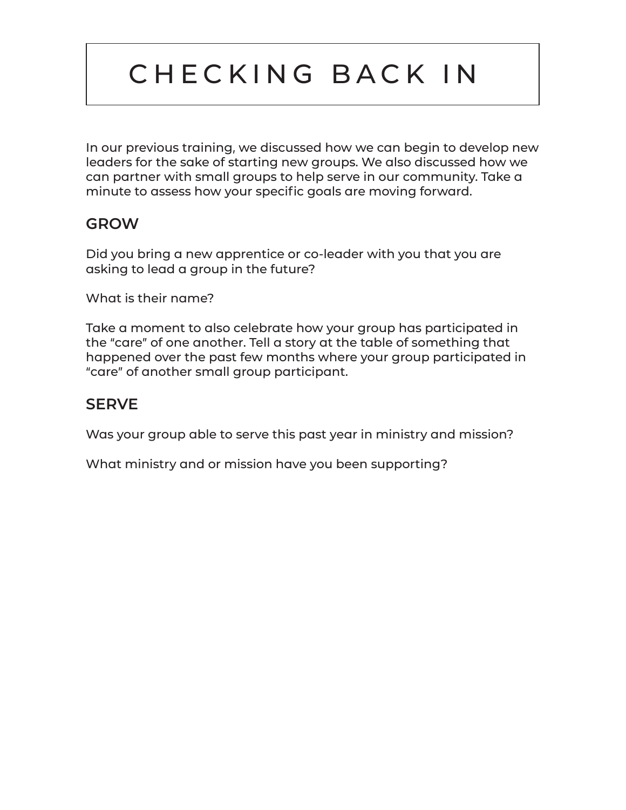# CHECKING BACK IN

In our previous training, we discussed how we can begin to develop new leaders for the sake of starting new groups. We also discussed how we can partner with small groups to help serve in our community. Take a minute to assess how your specific goals are moving forward.

### **GROW**

Did you bring a new apprentice or co-leader with you that you are asking to lead a group in the future?

What is their name?

Take a moment to also celebrate how your group has participated in the "care" of one another. Tell a story at the table of something that happened over the past few months where your group participated in "care" of another small group participant.

## **SERVE**

Was your group able to serve this past year in ministry and mission?

What ministry and or mission have you been supporting?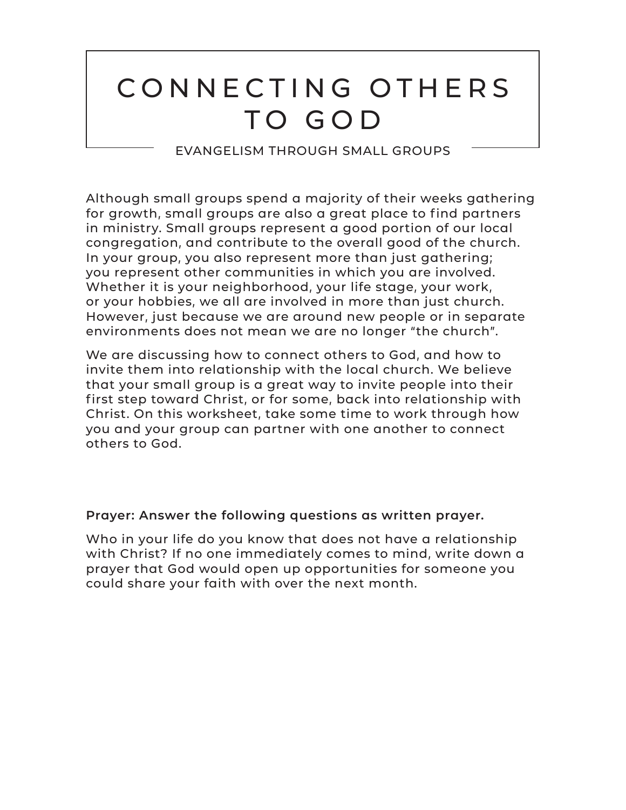# CONNECTING OTHERS TO GOD

EVANGELISM THROUGH SMALL GROUPS

Although small groups spend a majority of their weeks gathering for growth, small groups are also a great place to find partners in ministry. Small groups represent a good portion of our local congregation, and contribute to the overall good of the church. In your group, you also represent more than just gathering; you represent other communities in which you are involved. Whether it is your neighborhood, your life stage, your work, or your hobbies, we all are involved in more than just church. However, just because we are around new people or in separate environments does not mean we are no longer "the church".

We are discussing how to connect others to God, and how to invite them into relationship with the local church. We believe that your small group is a great way to invite people into their first step toward Christ, or for some, back into relationship with Christ. On this worksheet, take some time to work through how you and your group can partner with one another to connect others to God.

### **Prayer: Answer the following questions as written prayer.**

Who in your life do you know that does not have a relationship with Christ? If no one immediately comes to mind, write down a prayer that God would open up opportunities for someone you could share your faith with over the next month.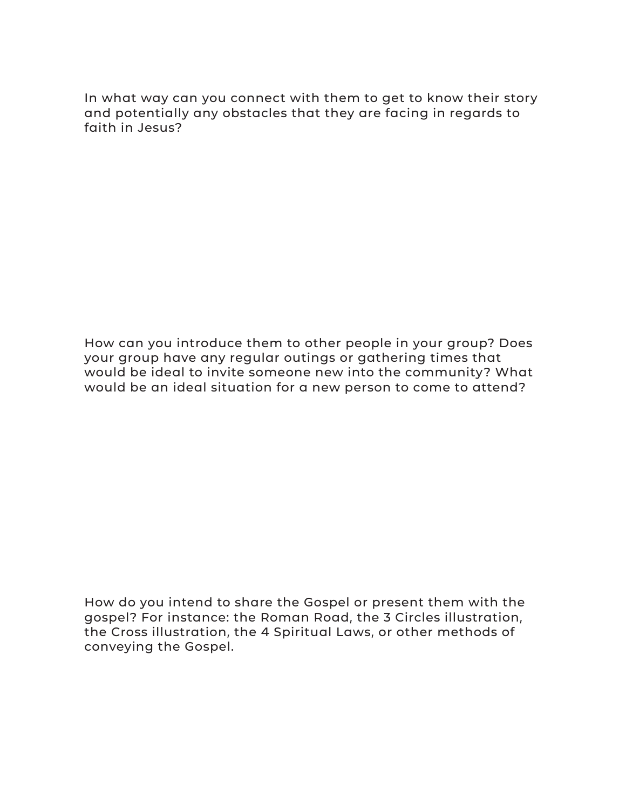In what way can you connect with them to get to know their story and potentially any obstacles that they are facing in regards to faith in Jesus?

How can you introduce them to other people in your group? Does your group have any regular outings or gathering times that would be ideal to invite someone new into the community? What would be an ideal situation for a new person to come to attend?

How do you intend to share the Gospel or present them with the gospel? For instance: the Roman Road, the 3 Circles illustration, the Cross illustration, the 4 Spiritual Laws, or other methods of conveying the Gospel.